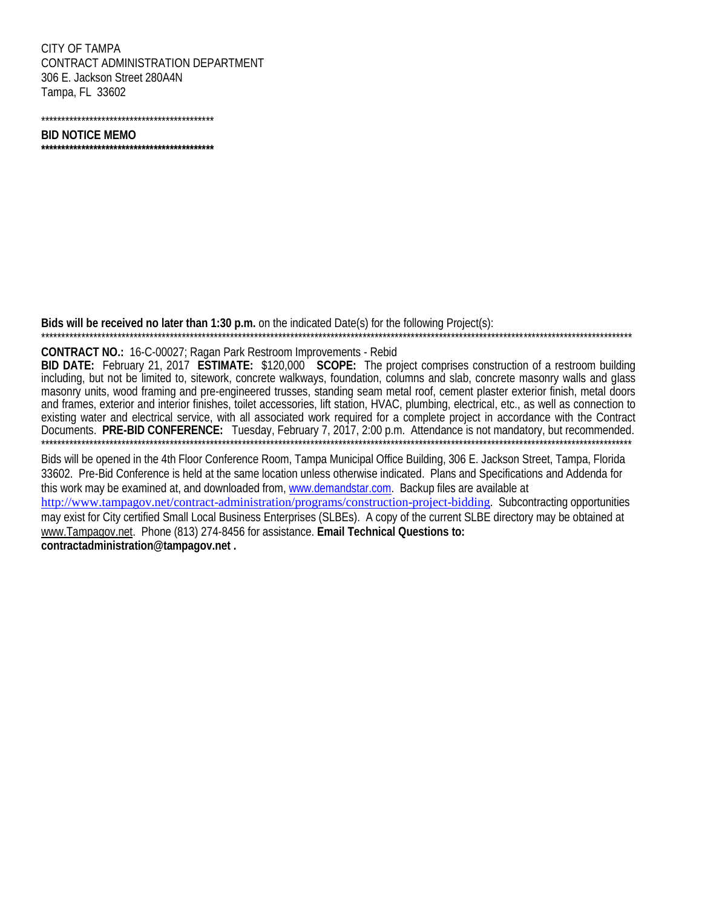CITY OF TAMPA CONTRACT ADMINISTRATION DEPARTMENT 306 E. Jackson Street 280A4N Tampa, FL 33602

\*\*\*\*\*\*\*\*\*\*\*\*\*\*\*\*\*\*\*\*\*\*\*\*\*\*\*\*\*\*\*\*\*\*\*\*\*\*\*\*\*\*\*

## **BID NOTICE MEMO**

**\*\*\*\*\*\*\*\*\*\*\*\*\*\*\*\*\*\*\*\*\*\*\*\*\*\*\*\*\*\*\*\*\*\*\*\*\*\*\*\*\*\*\***

**Bids will be received no later than 1:30 p.m.** on the indicated Date(s) for the following Project(s):

## **CONTRACT NO.:** 16-C-00027; Ragan Park Restroom Improvements - Rebid

**BID DATE:** February 21, 2017 **ESTIMATE:** \$120,000 **SCOPE:** The project comprises construction of a restroom building including, but not be limited to, sitework, concrete walkways, foundation, columns and slab, concrete masonry walls and glass masonry units, wood framing and pre-engineered trusses, standing seam metal roof, cement plaster exterior finish, metal doors and frames, exterior and interior finishes, toilet accessories, lift station, HVAC, plumbing, electrical, etc., as well as connection to existing water and electrical service, with all associated work required for a complete project in accordance with the Contract Documents. **PRE-BID CONFERENCE:** Tuesday, February 7, 2017, 2:00 p.m. Attendance is not mandatory, but recommended. \*\*\*\*\*\*\*\*\*\*\*\*\*\*\*\*\*\*\*\*\*\*\*\*\*\*\*\*\*\*\*\*\*\*\*\*\*\*\*\*\*\*\*\*\*\*\*\*\*\*\*\*\*\*\*\*\*\*\*\*\*\*\*\*\*\*\*\*\*\*\*\*\*\*\*\*\*\*\*\*\*\*\*\*\*\*\*\*\*\*\*\*\*\*\*\*\*\*\*\*\*\*\*\*\*\*\*\*\*\*\*\*\*\*\*\*\*\*\*\*\*\*\*\*\*\*\*\*\*\*\*\*\*\*\*\*\*\*\*\*\*\*\*\*\*\*\*

\*\*\*\*\*\*\*\*\*\*\*\*\*\*\*\*\*\*\*\*\*\*\*\*\*\*\*\*\*\*\*\*\*\*\*\*\*\*\*\*\*\*\*\*\*\*\*\*\*\*\*\*\*\*\*\*\*\*\*\*\*\*\*\*\*\*\*\*\*\*\*\*\*\*\*\*\*\*\*\*\*\*\*\*\*\*\*\*\*\*\*\*\*\*\*\*\*\*\*\*\*\*\*\*\*\*\*\*\*\*\*\*\*\*\*\*\*\*\*\*\*\*\*\*\*\*\*\*\*\*\*\*\*\*\*\*\*\*\*\*\*\*\*\*\*\*\*

Bids will be opened in the 4th Floor Conference Room, Tampa Municipal Office Building, 306 E. Jackson Street, Tampa, Florida 33602. Pre-Bid Conference is held at the same location unless otherwise indicated. Plans and Specifications and Addenda for this work may be examined at, and downloaded from, [www.demandstar.com.](http://www.demandstar.com/) Backup files are available at <http://www.tampagov.net/contract-administration/programs/construction-project-bidding>. Subcontracting opportunities may exist for City certified Small Local Business Enterprises (SLBEs). A copy of the current SLBE directory may be obtained at [www.Tampagov.net.](http://www.tampagov.net/) Phone (813) 274-8456 for assistance. **Email Technical Questions to: contractadministration@tampagov.net .**